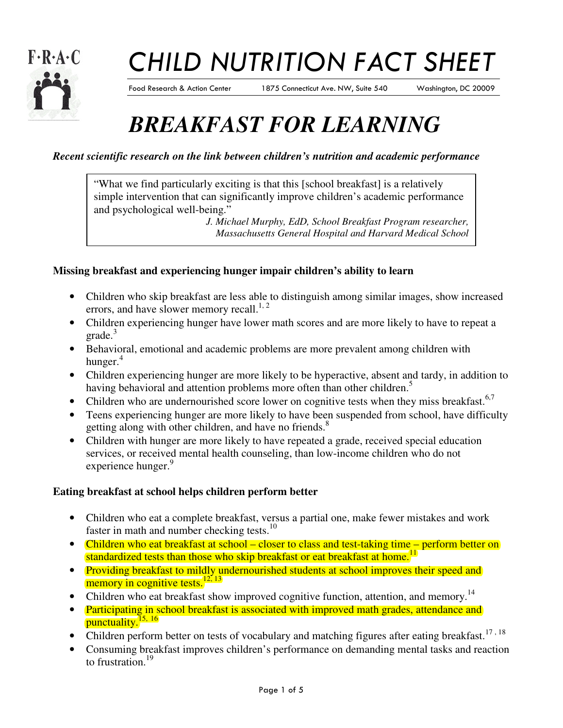

# CHILD NUTRITION FACT SHEET

Food Research & Action Center 1875 Connecticut Ave. NW, Suite 540 Washington, DC 20009

# *BREAKFAST FOR LEARNING*

### *Recent scientific research on the link between children's nutrition and academic performance*

"What we find particularly exciting is that this [school breakfast] is a relatively simple intervention that can significantly improve children's academic performance and psychological well-being."

*J. Michael Murphy, EdD, School Breakfast Program researcher, Massachusetts General Hospital and Harvard Medical School* 

### **Missing breakfast and experiencing hunger impair children's ability to learn**

- Children who skip breakfast are less able to distinguish among similar images, show increased errors, and have slower memory recall.<sup>1, 2</sup>
- Children experiencing hunger have lower math scores and are more likely to have to repeat a  $grade.<sup>3</sup>$
- Behavioral, emotional and academic problems are more prevalent among children with hunger. $4$
- Children experiencing hunger are more likely to be hyperactive, absent and tardy, in addition to having behavioral and attention problems more often than other children.<sup>5</sup>
- Children who are undernourished score lower on cognitive tests when they miss breakfast.<sup>6,7</sup>
- Teens experiencing hunger are more likely to have been suspended from school, have difficulty getting along with other children, and have no friends.<sup>8</sup>
- Children with hunger are more likely to have repeated a grade, received special education services, or received mental health counseling, than low-income children who do not experience hunger.<sup>9</sup>

#### **Eating breakfast at school helps children perform better**

- Children who eat a complete breakfast, versus a partial one, make fewer mistakes and work faster in math and number checking tests.<sup>10</sup>
- Children who eat breakfast at school closer to class and test-taking time perform better on standardized tests than those who skip breakfast or eat breakfast at home.<sup>11</sup>
- Providing breakfast to mildly undernourished students at school improves their speed and memory in cognitive tests. $\frac{12, 13}{2}$
- Children who eat breakfast show improved cognitive function, attention, and memory.<sup>14</sup>
- Participating in school breakfast is associated with improved math grades, attendance and punctuality. $\frac{15, 16}{2}$
- Children perform better on tests of vocabulary and matching figures after eating breakfast.<sup>17, 18</sup>
- Consuming breakfast improves children's performance on demanding mental tasks and reaction to frustration.<sup>19</sup>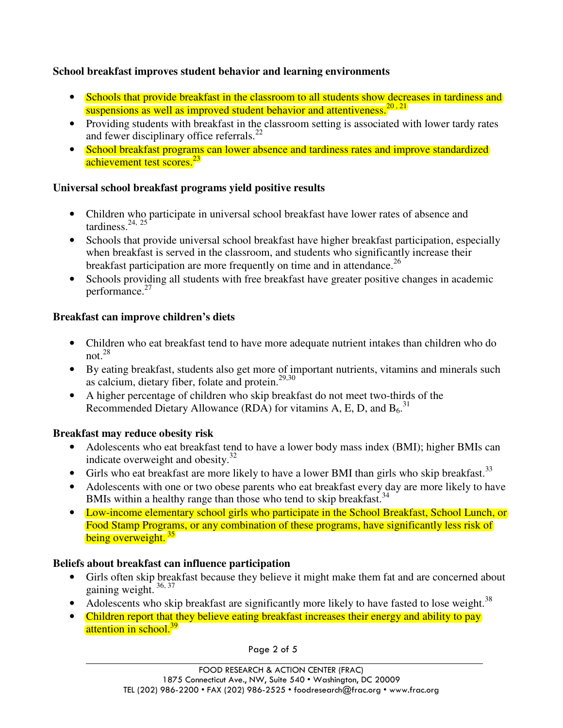### **School breakfast improves student behavior and learning environments**

- Schools that provide breakfast in the classroom to all students show decreases in tardiness and suspensions as well as improved student behavior and attentiveness.<sup>20, 21</sup>
- Providing students with breakfast in the classroom setting is associated with lower tardy rates and fewer disciplinary office referrals.<sup>22</sup>
- School breakfast programs can lower absence and tardiness rates and improve standardized achievement test scores.<sup>23</sup>

### **Universal school breakfast programs yield positive results**

- Children who participate in universal school breakfast have lower rates of absence and tardiness. $24, 25$
- Schools that provide universal school breakfast have higher breakfast participation, especially when breakfast is served in the classroom, and students who significantly increase their breakfast participation are more frequently on time and in attendance.<sup>26</sup>
- Schools providing all students with free breakfast have greater positive changes in academic performance.<sup>27</sup>

# **Breakfast can improve children's diets**

- Children who eat breakfast tend to have more adequate nutrient intakes than children who do not. $28$
- By eating breakfast, students also get more of important nutrients, vitamins and minerals such as calcium, dietary fiber, folate and protein.<sup>29,30</sup>
- A higher percentage of children who skip breakfast do not meet two-thirds of the Recommended Dietary Allowance (RDA) for vitamins A, E, D, and  $B_6$ .<sup>31</sup>

#### **Breakfast may reduce obesity risk**

 $\overline{a}$ 

- Adolescents who eat breakfast tend to have a lower body mass index (BMI); higher BMIs can indicate overweight and obesity. $32$
- Girls who eat breakfast are more likely to have a lower BMI than girls who skip breakfast.<sup>33</sup>
- Adolescents with one or two obese parents who eat breakfast every day are more likely to have BMIs within a healthy range than those who tend to skip breakfast.<sup>34</sup>
- Low-income elementary school girls who participate in the School Breakfast, School Lunch, or Food Stamp Programs, or any combination of these programs, have significantly less risk of being overweight.<sup>35</sup>

# **Beliefs about breakfast can influence participation**

- Girls often skip breakfast because they believe it might make them fat and are concerned about gaining weight. 36, 37
- Adolescents who skip breakfast are significantly more likely to have fasted to lose weight.<sup>38</sup>
- Children report that they believe eating breakfast increases their energy and ability to pay attention in school.<sup>39</sup>

Page 2 of 5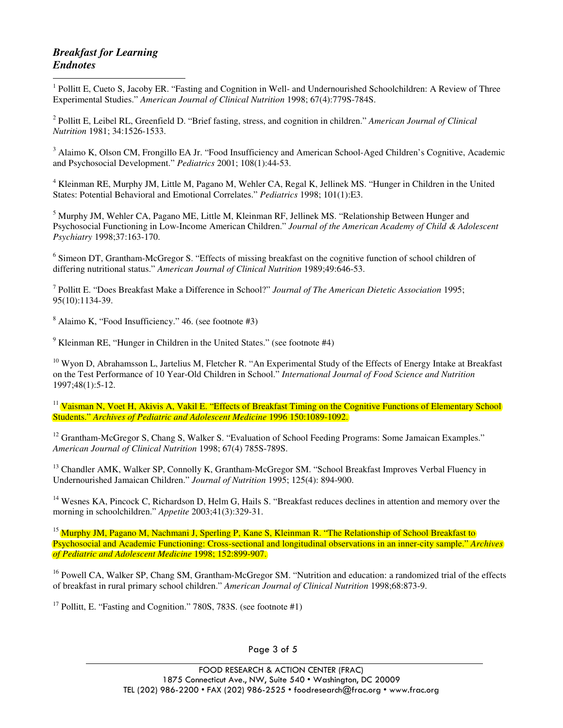#### *Breakfast for Learning Endnotes*

 $\overline{a}$ <sup>1</sup> Pollitt E, Cueto S, Jacoby ER. "Fasting and Cognition in Well- and Undernourished Schoolchildren: A Review of Three Experimental Studies." *American Journal of Clinical Nutrition* 1998; 67(4):779S-784S.

2 Pollitt E, Leibel RL, Greenfield D. "Brief fasting, stress, and cognition in children." *American Journal of Clinical Nutrition* 1981; 34:1526-1533.

<sup>3</sup> Alaimo K, Olson CM, Frongillo EA Jr. "Food Insufficiency and American School-Aged Children's Cognitive, Academic and Psychosocial Development." *Pediatrics* 2001; 108(1):44-53.

<sup>4</sup> Kleinman RE, Murphy JM, Little M, Pagano M, Wehler CA, Regal K, Jellinek MS. "Hunger in Children in the United States: Potential Behavioral and Emotional Correlates." *Pediatrics* 1998; 101(1):E3.

<sup>5</sup> Murphy JM, Wehler CA, Pagano ME, Little M, Kleinman RF, Jellinek MS. "Relationship Between Hunger and Psychosocial Functioning in Low-Income American Children." *Journal of the American Academy of Child & Adolescent Psychiatry* 1998;37:163-170.

<sup>6</sup> Simeon DT, Grantham-McGregor S. "Effects of missing breakfast on the cognitive function of school children of differing nutritional status." *American Journal of Clinical Nutrition* 1989;49:646-53.

7 Pollitt E. "Does Breakfast Make a Difference in School?" *Journal of The American Dietetic Association* 1995; 95(10):1134-39.

8 Alaimo K, "Food Insufficiency." 46. (see footnote #3)

<sup>9</sup> Kleinman RE, "Hunger in Children in the United States." (see footnote #4)

 $10$  Wyon D, Abrahamsson L, Jartelius M, Fletcher R. "An Experimental Study of the Effects of Energy Intake at Breakfast on the Test Performance of 10 Year-Old Children in School." *International Journal of Food Science and Nutrition*  1997;48(1):5-12.

<sup>11</sup> Vaisman N, Voet H, Akivis A, Vakil E. "Effects of Breakfast Timing on the Cognitive Functions of Elementary School Students." *Archives of Pediatric and Adolescent Medicine* 1996 150:1089-1092.

<sup>12</sup> Grantham-McGregor S, Chang S, Walker S. "Evaluation of School Feeding Programs: Some Jamaican Examples." *American Journal of Clinical Nutrition* 1998; 67(4) 785S-789S.

<sup>13</sup> Chandler AMK, Walker SP, Connolly K, Grantham-McGregor SM. "School Breakfast Improves Verbal Fluency in Undernourished Jamaican Children." *Journal of Nutrition* 1995; 125(4): 894-900.

<sup>14</sup> Wesnes KA, Pincock C, Richardson D, Helm G, Hails S. "Breakfast reduces declines in attention and memory over the morning in schoolchildren." *Appetite* 2003;41(3):329-31.

<sup>15</sup> Murphy JM, Pagano M, Nachmani J, Sperling P, Kane S, Kleinman R. "The Relationship of School Breakfast to Psychosocial and Academic Functioning: Cross-sectional and longitudinal observations in an inner-city sample." *Archives of Pediatric and Adolescent Medicine* 1998; 152:899-907.

<sup>16</sup> Powell CA, Walker SP, Chang SM, Grantham-McGregor SM. "Nutrition and education: a randomized trial of the effects of breakfast in rural primary school children." *American Journal of Clinical Nutrition* 1998;68:873-9.

 $17$  Pollitt, E. "Fasting and Cognition." 780S, 783S. (see footnote #1)

 $\overline{a}$ 

Page 3 of 5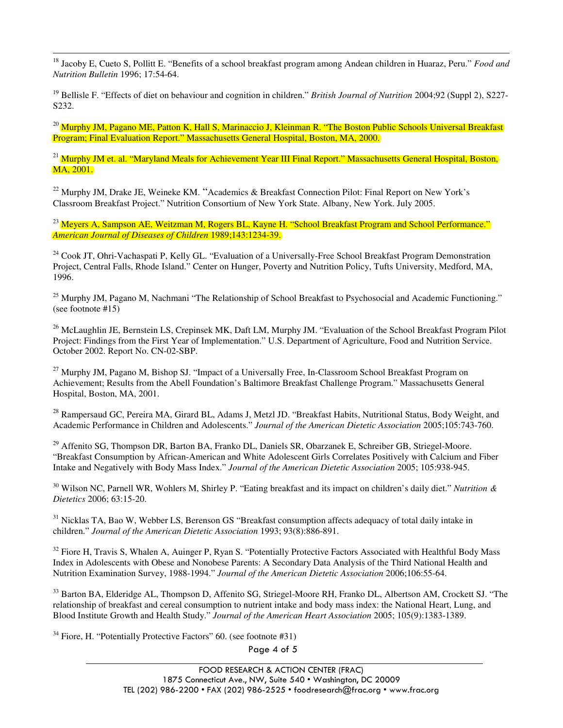$\overline{a}$ <sup>18</sup> Jacoby E, Cueto S, Pollitt E. "Benefits of a school breakfast program among Andean children in Huaraz, Peru." *Food and Nutrition Bulletin* 1996; 17:54-64.

<sup>19</sup> Bellisle F. "Effects of diet on behaviour and cognition in children." *British Journal of Nutrition* 2004;92 (Suppl 2), S227- S232.

 $^{20}$  Murphy JM, Pagano ME, Patton K, Hall S, Marinaccio J, Kleinman R. "The Boston Public Schools Universal Breakfast Program; Final Evaluation Report." Massachusetts General Hospital, Boston, MA, 2000.

<sup>21</sup> Murphy JM et. al. "Maryland Meals for Achievement Year III Final Report." Massachusetts General Hospital, Boston, MA, 2001.

<sup>22</sup> Murphy JM, Drake JE, Weineke KM. "Academics & Breakfast Connection Pilot: Final Report on New York's Classroom Breakfast Project." Nutrition Consortium of New York State. Albany, New York. July 2005.

<sup>23</sup> Meyers A, Sampson AE, Weitzman M, Rogers BL, Kayne H. "School Breakfast Program and School Performance." *American Journal of Diseases of Children* 1989;143:1234-39.

<sup>24</sup> Cook JT, Ohri-Vachaspati P, Kelly GL. "Evaluation of a Universally-Free School Breakfast Program Demonstration Project, Central Falls, Rhode Island." Center on Hunger, Poverty and Nutrition Policy, Tufts University, Medford, MA, 1996.

 $^{25}$  Murphy JM, Pagano M, Nachmani "The Relationship of School Breakfast to Psychosocial and Academic Functioning." (see footnote #15)

 $^{26}$  McLaughlin JE, Bernstein LS, Crepinsek MK, Daft LM, Murphy JM. "Evaluation of the School Breakfast Program Pilot Project: Findings from the First Year of Implementation." U.S. Department of Agriculture, Food and Nutrition Service. October 2002. Report No. CN-02-SBP.

<sup>27</sup> Murphy JM, Pagano M, Bishop SJ. "Impact of a Universally Free, In-Classroom School Breakfast Program on Achievement; Results from the Abell Foundation's Baltimore Breakfast Challenge Program." Massachusetts General Hospital, Boston, MA, 2001.

<sup>28</sup> Rampersaud GC, Pereira MA, Girard BL, Adams J, Metzl JD. "Breakfast Habits, Nutritional Status, Body Weight, and Academic Performance in Children and Adolescents." *Journal of the American Dietetic Association* 2005;105:743-760.

<sup>29</sup> Affenito SG, Thompson DR, Barton BA, Franko DL, Daniels SR, Obarzanek E, Schreiber GB, Striegel-Moore. "Breakfast Consumption by African-American and White Adolescent Girls Correlates Positively with Calcium and Fiber Intake and Negatively with Body Mass Index." *Journal of the American Dietetic Association* 2005; 105:938-945.

<sup>30</sup> Wilson NC, Parnell WR, Wohlers M, Shirley P. "Eating breakfast and its impact on children's daily diet." *Nutrition & Dietetics* 2006; 63:15-20.

<sup>31</sup> Nicklas TA, Bao W, Webber LS, Berenson GS "Breakfast consumption affects adequacy of total daily intake in children." *Journal of the American Dietetic Association* 1993; 93(8):886-891.

 $32$  Fiore H, Travis S, Whalen A, Auinger P, Ryan S. "Potentially Protective Factors Associated with Healthful Body Mass Index in Adolescents with Obese and Nonobese Parents: A Secondary Data Analysis of the Third National Health and Nutrition Examination Survey, 1988-1994." *Journal of the American Dietetic Association* 2006;106:55-64.

<sup>33</sup> Barton BA, Elderidge AL, Thompson D, Affenito SG, Striegel-Moore RH, Franko DL, Albertson AM, Crockett SJ. "The relationship of breakfast and cereal consumption to nutrient intake and body mass index: the National Heart, Lung, and Blood Institute Growth and Health Study." *Journal of the American Heart Association* 2005; 105(9):1383-1389.

 $34$  Fiore, H. "Potentially Protective Factors" 60. (see footnote #31)

 $\overline{a}$ 

Page 4 of 5